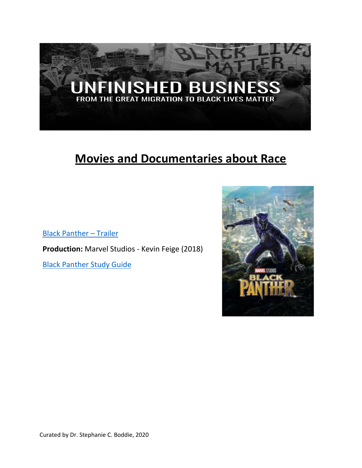

# **Movies and Documentaries about Race**

[Black Panther](https://www.youtube.com/watch?v=EdMo0Lt78zA&app=desktop) – Trailer

**Production:** Marvel Studios - Kevin Feige (2018)

[Black Panther Study Guide](https://btpbase.org/wp-content/uploads/2018/02/Black-Panther-Study-Guide.-Trinity-UCC.pdf)

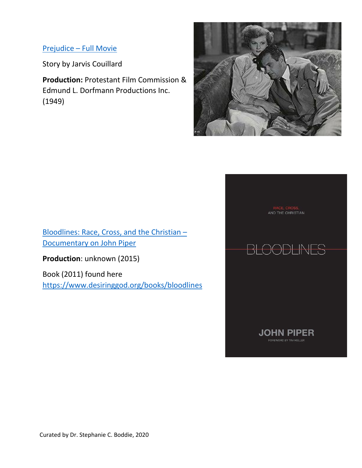## Prejudice – [Full Movie](https://www.youtube.com/watch?v=BB_5KsqN258&app=desktop)

Story by Jarvis Couillard

**Production:** Protestant Film Commission & Edmund L. Dorfmann Productions Inc. (1949)



[Bloodlines: Race, Cross, and the Christian](https://m.youtube.com/watch?v=us-tvWT2gDo) – [Documentary on John Piper](https://m.youtube.com/watch?v=us-tvWT2gDo)

**Production**: unknown (2015)

Book (2011) found here <https://www.desiringgod.org/books/bloodlines> AND THE CHRISTIAN



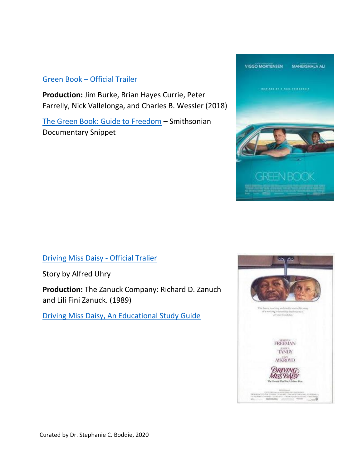## Green Book – [Official Trailer](https://www.youtube.com/watch?v=QkZxoko_HC0)

**Production:** Jim Burke, Brian Hayes Currie, Peter Farrelly, Nick Vallelonga, and Charles B. Wessler (2018)

[The Green Book: Guide to Freedom](https://www.smithsonianchannel.com/videos/how-the-green-book-helped-black-motorists-travel-safely/65702) – Smithsonian Documentary Snippet



[Driving Miss Daisy -](https://www.youtube.com/watch?v=TQ3wXC5jqKE) Official Tralier

Story by Alfred Uhry

**Production:** The Zanuck Company: Richard D. Zanuch and Lili Fini Zanuck. (1989)

[Driving Miss Daisy, An Educational Study Guide](http://img.broadway.com/images/dmd_study_guide.pdf)

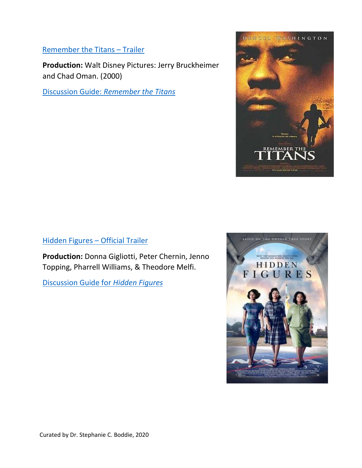## [Remember the Titans](https://www.youtube.com/watch?v=ThTD7u5z9hw) – Trailer

**Production:** Walt Disney Pictures: Jerry Bruckheimer and Chad Oman. (2000)

Discussion Guide: *[Remember the Titans](https://devzone.positivecoach.org/sites/uploads/files/PCA_Movie_RememberTheTitans.pdf)*



### [Hidden Figures](https://www.youtube.com/watch?v=5wfrDhgUMGI) – Official Trailer

**Production:** Donna Gigliotti, Peter Chernin, Jenno Topping, Pharrell Williams, & Theodore Melfi.

[Discussion Guide for](https://techbridgegirls.org/assets/files/what/publications/DiscussionGuideforHiddenFigures.pdf) *Hidden Figures*

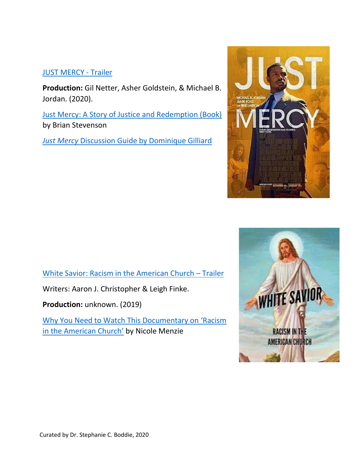## [JUST MERCY -](https://m.youtube.com/watch?v=GVQbeG5yW78) Trailer

**Production:** Gil Netter, Asher Goldstein, & Michael B. Jordan. (2020).

[Just Mercy: A Story of Justice and Redemption \(Book\)](https://www.amazon.com/dp/B00JYWVYLY/ref%3Ddp-kindle-redirect?_encoding=UTF8&btkr=1) by Brian Stevenson

*Just Mercy* [Discussion Guide by Dominique Gilliard](https://dominiquegilliard.com/wp-content/uploads/2020/01/Just-Mercy-film-questions.pdf)





[White Savior: Racism in the American Church](https://www.youtube.com/watch?v=2FWenQCC4-s) – Trailer

Writers: Aaron J. Christopher & Leigh Finke.

**Production:** unknown. (2019)

[Why You Need to Watch This Documentary on 'Racism](https://medium.com/%40namenzie/why-you-need-to-watch-this-documentary-on-racism-in-the-american-church-5171a78d6ea8) [in the American Church'](https://medium.com/%40namenzie/why-you-need-to-watch-this-documentary-on-racism-in-the-american-church-5171a78d6ea8) [b](https://medium.com/%40namenzie/why-you-need-to-watch-this-documentary-on-racism-in-the-american-church-5171a78d6ea8)y Nicole Menzie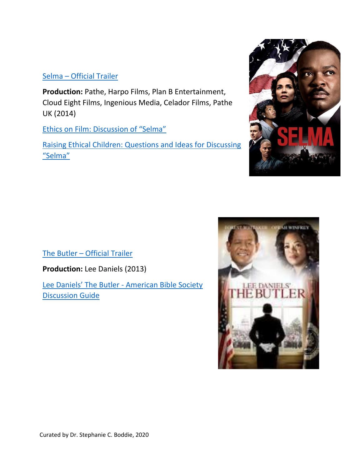#### Selma – [Official Trailer](https://www.youtube.com/watch?v=x6t7vVTxaic)

**Production:** Pathe, Harpo Films, Plan B Entertainment, Cloud Eight Films, Ingenious Media, Celador Films, Pathe UK (2014)

[Ethics on Film: Discussion of "Selma"](https://www.carnegiecouncil.org/publications/ethics_onfilm/0018)

[Raising Ethical Children: Questions and Ideas for Discussing](https://www.facinghistory.org/sites/default/files/Raising_Ethical_Children_Selma.pdf) ["Selma"](https://www.facinghistory.org/sites/default/files/Raising_Ethical_Children_Selma.pdf)



The Butler – [Official Trailer](https://www.youtube.com/watch?v=ePNGjp2Bx-c)

**Production:** Lee Daniels (2013)

[Lee Daniels' The Butler](https://www.americanbible.org/uploads/content/lee_daniels_the_butler.pdf) - American Bible Society [Discussion Guide](https://www.americanbible.org/uploads/content/lee_daniels_the_butler.pdf)